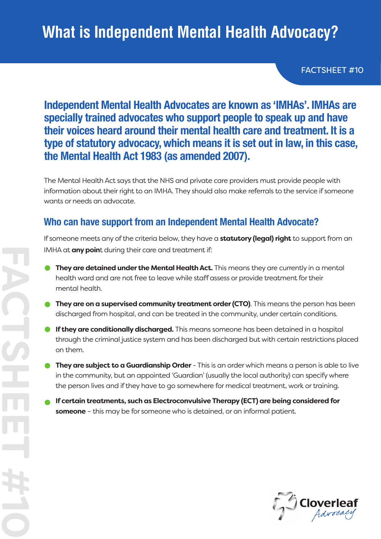# **What is Independent Mental Health Advocacy?**

FACTSHEET #10

### **Independent Mental Health Advocates are known as 'IMHAs'. IMHAs are specially trained advocates who support people to speak up and have their voices heard around their mental health care and treatment. It is a type of statutory advocacy, which means it is set out in law, in this case, the Mental Health Act 1983 (as amended 2007).**

The Mental Health Act says that the NHS and private care providers must provide people with information about their right to an IMHA. They should also make referrals to the service if someone wants or needs an advocate.

#### **Who can have support from an Independent Mental Health Advocate?**

If someone meets any of the criteria below, they have a **statutory (legal) right** to support from an IMHA at **any poin**t during their care and treatment if:

- **They are detained under the Mental Health Act.** This means they are currently in a mental health ward and are not free to leave while staff assess or provide treatment for their mental health.
- **They are on a supervised community treatment order (CTO)**. This means the person has been discharged from hospital, and can be treated in the community, under certain conditions.
- **If they are conditionally discharged.** This means someone has been detained in a hospital through the criminal justice system and has been discharged but with certain restrictions placed on them.
- **They are subject to a Guardianship Order** This is an order which means a person is able to live in the community, but an appointed 'Guardian' (usually the local authority) can specify where the person lives and if they have to go somewhere for medical treatment, work or training.
- **If certain treatments, such as Electroconvulsive Therapy (ECT) are being considered for someone** – this may be for someone who is detained, or an informal patient.

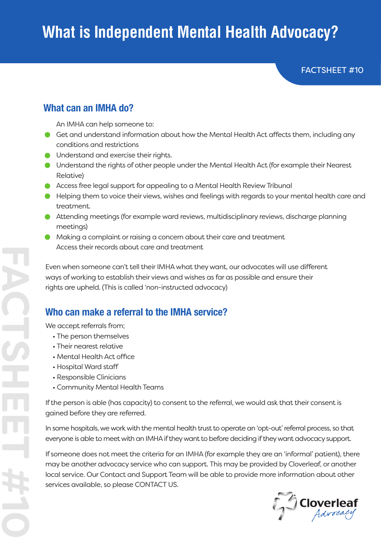# **What is Independent Mental Health Advocacy?**

FACTSHEET #10

#### **What can an IMHA do?**

An IMHA can help someone to:

- Get and understand information about how the Mental Health Act affects them, including any conditions and restrictions
- **O** Understand and exercise their rights.
- Understand the rights of other people under the Mental Health Act (for example their Nearest Relative)
- Access free legal support for appealing to a Mental Health Review Tribunal
- Helping them to voice their views, wishes and feelings with regards to your mental health care and treatment.
- Attending meetings (for example ward reviews, multidisciplinary reviews, discharge planning meetings)
- Making a complaint or raising a concern about their care and treatment Access their records about care and treatment

Even when someone can't tell their IMHA what they want, our advocates will use different ways of working to establish their views and wishes as far as possible and ensure their rights are upheld. (This is called 'non-instructed advocacy)

#### **Who can make a referral to the IMHA service?**

We accept referrals from;

- The person themselves
- Their nearest relative
- Mental Health Act office
- Hospital Ward staff

**FACTSHEET #10**

- Responsible Clinicians
- Community Mental Health Teams

If the person is able (has capacity) to consent to the referral, we would ask that their consent is gained before they are referred.

In some hospitals, we work with the mental health trust to operate an 'opt-out' referral process, so that everyone is able to meet with an IMHA if they want to before deciding if they want advocacy support.

If someone does not meet the criteria for an IMHA (for example they are an 'informal' patient), there may be another advocacy service who can support. This may be provided by Cloverleaf, or another local service. Our Contact and Support Team will be able to provide more information about other services available, so please CONTACT US.